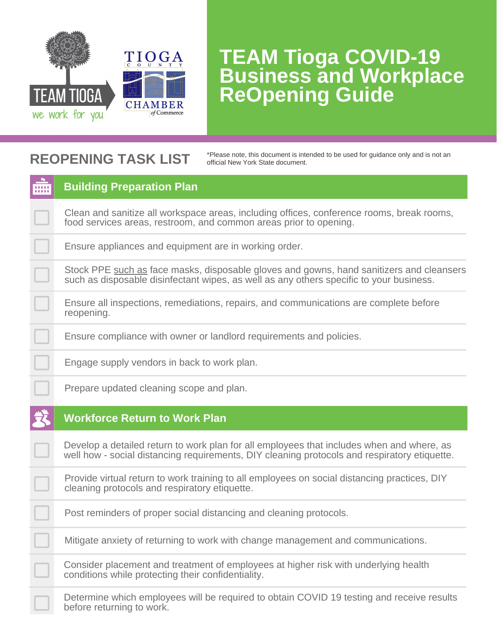

#### **REOPENING TASK LIST**

\*Please note, this document is intended to be used for guidance only and is not an official New York State document.

| m | <b>Building Preparation Plan</b>                                                                                                                                                          |
|---|-------------------------------------------------------------------------------------------------------------------------------------------------------------------------------------------|
|   | Clean and sanitize all workspace areas, including offices, conference rooms, break rooms,<br>food services areas, restroom, and common areas prior to opening.                            |
|   | Ensure appliances and equipment are in working order.                                                                                                                                     |
|   | Stock PPE such as face masks, disposable gloves and gowns, hand sanitizers and cleansers<br>such as disposable disinfectant wipes, as well as any others specific to your business.       |
|   | Ensure all inspections, remediations, repairs, and communications are complete before<br>reopening.                                                                                       |
|   | Ensure compliance with owner or landlord requirements and policies.                                                                                                                       |
|   | Engage supply vendors in back to work plan.                                                                                                                                               |
|   | Prepare updated cleaning scope and plan.                                                                                                                                                  |
|   | <b>Workforce Return to Work Plan</b>                                                                                                                                                      |
|   | Develop a detailed return to work plan for all employees that includes when and where, as<br>well how - social distancing requirements, DIY cleaning protocols and respiratory etiquette. |
|   | Provide virtual return to work training to all employees on social distancing practices, DIY<br>cleaning protocols and respiratory etiquette.                                             |
|   | Post reminders of proper social distancing and cleaning protocols.                                                                                                                        |
|   | Mitigate anxiety of returning to work with change management and communications.                                                                                                          |
|   | Consider placement and treatment of employees at higher risk with underlying health<br>conditions while protecting their confidentiality.                                                 |
|   | Determine which employees will be required to obtain COVID 19 testing and receive results<br>before returning to work.                                                                    |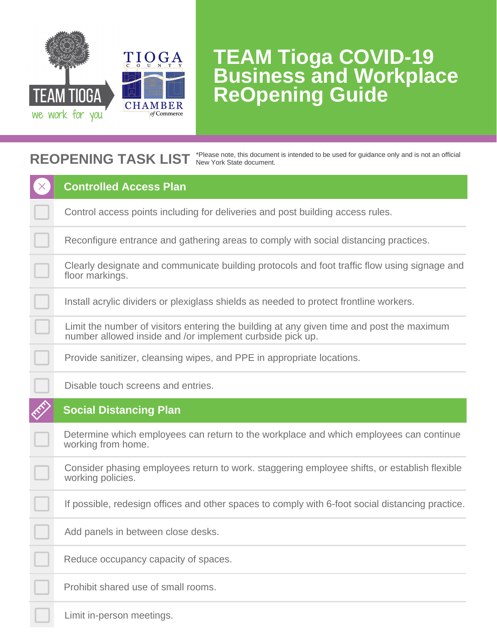

#### **REOPENING TASK LIST** \*Please note, this document is intended to be used for guidance only and is not an official New York State document.

| <b>Controlled Access Plan</b>                                                                                                                          |
|--------------------------------------------------------------------------------------------------------------------------------------------------------|
|                                                                                                                                                        |
| Control access points including for deliveries and post building access rules.                                                                         |
| Reconfigure entrance and gathering areas to comply with social distancing practices.                                                                   |
| Clearly designate and communicate building protocols and foot traffic flow using signage and<br>floor markings.                                        |
| Install acrylic dividers or plexiglass shields as needed to protect frontline workers.                                                                 |
| Limit the number of visitors entering the building at any given time and post the maximum<br>number allowed inside and /or implement curbside pick up. |
| Provide sanitizer, cleansing wipes, and PPE in appropriate locations.                                                                                  |
| Disable touch screens and entries.                                                                                                                     |
|                                                                                                                                                        |
| <b>Social Distancing Plan</b>                                                                                                                          |
| Determine which employees can return to the workplace and which employees can continue<br>working from home.                                           |
| Consider phasing employees return to work. staggering employee shifts, or establish flexible<br>working policies.                                      |
| If possible, redesign offices and other spaces to comply with 6-foot social distancing practice.                                                       |
| Add panels in between close desks.                                                                                                                     |
| Reduce occupancy capacity of spaces.                                                                                                                   |
| Prohibit shared use of small rooms.                                                                                                                    |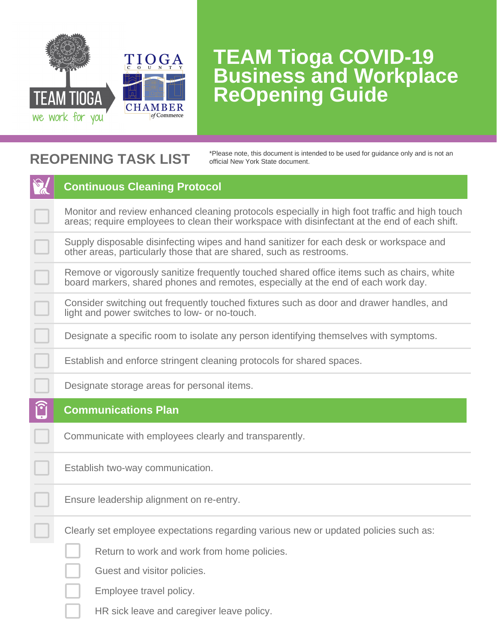

#### **REOPENING TASK LIST**

\*Please note, this document is intended to be used for guidance only and is not an official New York State document.

|                        | <b>Continuous Cleaning Protocol</b>                                                                                                                                                            |
|------------------------|------------------------------------------------------------------------------------------------------------------------------------------------------------------------------------------------|
|                        | Monitor and review enhanced cleaning protocols especially in high foot traffic and high touch<br>areas; require employees to clean their workspace with disinfectant at the end of each shift. |
|                        | Supply disposable disinfecting wipes and hand sanitizer for each desk or workspace and<br>other areas, particularly those that are shared, such as restrooms.                                  |
|                        | Remove or vigorously sanitize frequently touched shared office items such as chairs, white<br>board markers, shared phones and remotes, especially at the end of each work day.                |
|                        | Consider switching out frequently touched fixtures such as door and drawer handles, and<br>light and power switches to low- or no-touch.                                                       |
|                        | Designate a specific room to isolate any person identifying themselves with symptoms.                                                                                                          |
|                        | Establish and enforce stringent cleaning protocols for shared spaces.                                                                                                                          |
|                        | Designate storage areas for personal items.                                                                                                                                                    |
|                        |                                                                                                                                                                                                |
| $\widehat{\mathbf{C}}$ | <b>Communications Plan</b>                                                                                                                                                                     |
|                        | Communicate with employees clearly and transparently.                                                                                                                                          |
|                        | Establish two-way communication.                                                                                                                                                               |
|                        | Ensure leadership alignment on re-entry.                                                                                                                                                       |
|                        | Clearly set employee expectations regarding various new or updated policies such as:                                                                                                           |
|                        | Return to work and work from home policies.                                                                                                                                                    |
|                        | Guest and visitor policies.                                                                                                                                                                    |
|                        | Employee travel policy.                                                                                                                                                                        |